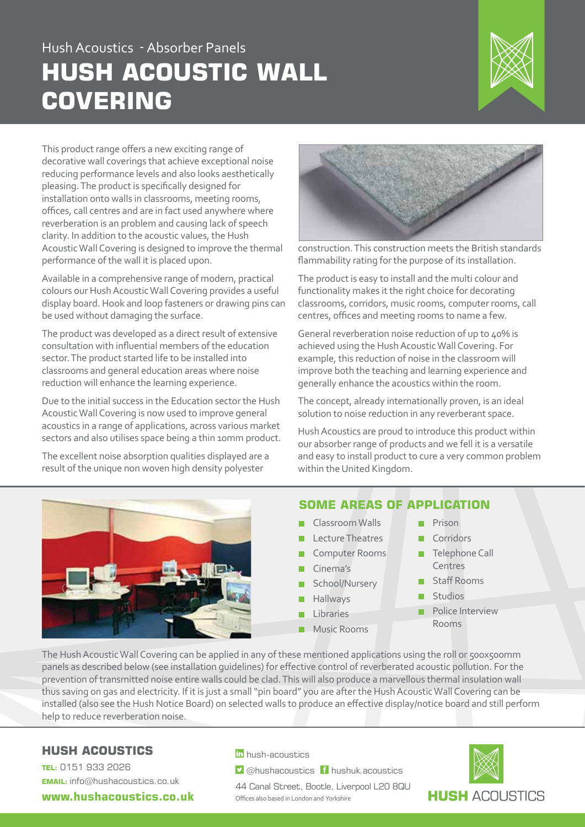## Hush Acoustics - Absorber Panels **HUSH ACOUSTIC WALL COVERING**



This product range offers a new exciting range of decorative wall coverings that achieve exceptional noise reducing performance levels and also looks aesthetically pleasing. The product is specifically designed for installation onto walls in classrooms, meeting rooms, offices, call centres and are in fact used anywhere where reverberation is an problem and causing lack of speech clarity. In addition to the acoustic values, the Hush Acoustic Wall Covering is designed to improve the thermal performance of the wall it is placed upon.

Available in a comprehensive range of modern, practical colours our Hush Acoustic Wall Covering provides a useful display board. Hook and loop fasteners or drawing pins can be used without damaging the surface.

The product was developed as a direct result of extensive consultation with influential members of the education sector. The product started life to be installed into classrooms and general education areas where noise reduction will enhance the learning experience.

Due to the initial success in the Education sector the Hush Acoustic Wall Covering is now used to improve general acoustics in a range of applications, across various market sectors and also utilises space being a thin 10mm product.

The excellent noise absorption qualities displayed are a result of the unique non woven high density polyester



construction. This construction meets the British standards flammability rating for the purpose of its installation.

The product is easy to install and the multi colour and functionality makes it the right choice for decorating classrooms, corridors, music rooms, computer rooms, call centres, offices and meeting rooms to name a few.

General reverberation noise reduction of up to 40% is achieved using the Hush Acoustic Wall Covering. For example, this reduction of noise in the classroom will improve both the teaching and learning experience and generally enhance the acoustics within the room.

The concept, already internationally proven, is an ideal solution to noise reduction in any reverberant space.

Hush Acoustics are proud to introduce this product within our absorber range of products and we fell it is a versatile and easy to install product to cure a very common problem within the United Kingdom.



## **SOME AREAS OF APPLICATION**

- **Classroom Walls**
- Lecture Theatres
- Computer Rooms
- Cinema's
- School/Nursery
- Hallways
- Libraries
	- Music Rooms
- **Prison**
- Corridors
- **Telephone Call** Centres
- Staff Rooms
- Studios
- **Police Interview** Rooms

The Hush Acoustic Wall Covering can be applied in any of these mentioned applications using the roll or 500x500mm panels as described below (see installation guidelines) for effective control of reverberated acoustic pollution. For the prevention of transmitted noise entire walls could be clad. This will also produce a marvellous thermal insulation wall thus saving on gas and electricity. If it is just a small "pin board" you are after the Hush Acoustic Wall Covering can be installed (also see the Hush Notice Board) on selected walls to produce an effective display/notice board and still perform help to reduce reverberation noise.

## **HUSH ACOUSTICS**

**TEL:** 0151 933 2026 **EMAIL:** info@hushacoustics.co.uk

**www.hushacoustics.co.uk** 

in hush-acoustics

 $\triangleright$  @hushacoustics  $\vdash$  hushuk.acoustics

44 Canal Street, Bootle, Liverpool L20 8QU Offices also based in London and Yorkshire

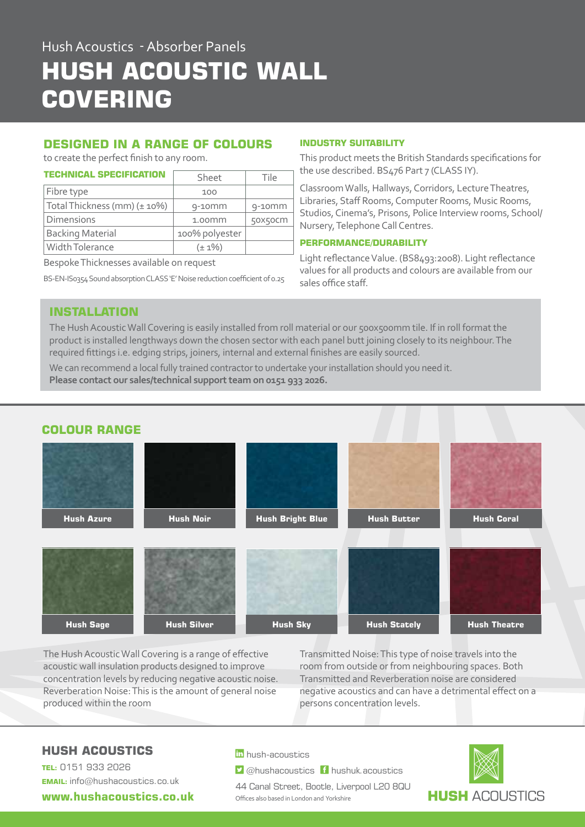# Hush Acoustics - Absorber Panels **HUSH ACOUSTIC WALL COVERING**

## **DESIGNED IN A RANGE OF COLOURS**

to create the perfect finish to any room.

| <b>TECHNICAL SPECIFICATION</b> | Sheet          | Tile      |
|--------------------------------|----------------|-----------|
| Fibre type                     | 100            |           |
| Total Thickness (mm) (± 10%)   | $9-10$ mm      | $9-10$ mm |
| Dimensions                     | $1.00$ mm      | 50X50CM   |
| <b>Backing Material</b>        | 100% polyester |           |
| Width Tolerance                | $(\pm 1\%)$    |           |

Bespoke Thicknesses available on request

BS-EN-IS0354 Sound absorption CLASS 'E' Noise reduction coefficient of 0.25

#### **INDUSTRY SUITABILITY**

This product meets the British Standards specifications for the use described. BS476 Part 7 (CLASS IY).

Classroom Walls, Hallways, Corridors, Lecture Theatres, Libraries, Staff Rooms, Computer Rooms, Music Rooms, Studios, Cinema's, Prisons, Police Interview rooms, School/ Nursery, Telephone Call Centres.

#### **PERFORMANCE/DURABILITY**

Light reflectance Value. (BS8493:2008). Light reflectance values for all products and colours are available from our sales office staff.

### **INSTALLATION**

The Hush Acoustic Wall Covering is easily installed from roll material or our 500x500mm tile. If in roll format the product is installed lengthways down the chosen sector with each panel butt joining closely to its neighbour. The required fittings i.e. edging strips, joiners, internal and external finishes are easily sourced.

We can recommend a local fully trained contractor to undertake your installation should you need it. **Please contact our sales/technical support team on 0151 933 2026.**



The Hush Acoustic Wall Covering is a range of effective acoustic wall insulation products designed to improve concentration levels by reducing negative acoustic noise. Reverberation Noise: This is the amount of general noise produced within the room

Transmitted Noise: This type of noise travels into the room from outside or from neighbouring spaces. Both Transmitted and Reverberation noise are considered negative acoustics and can have a detrimental effect on a persons concentration levels.

## **HUSH ACOUSTICS**

**TEL:** 0151 933 2026 **EMAIL:** info@hushacoustics.co.uk

**www.hushacoustics.co.uk** 

in hush-acoustics

 $\triangleright$  @hushacoustics  $\vdash$  hushuk.acoustics

44 Canal Street, Bootle, Liverpool L20 8QU Offices also based in London and Yorkshire